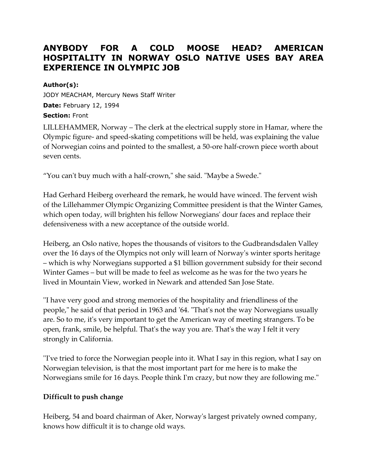# **ANYBODY FOR A COLD MOOSE HEAD? AMERICAN HOSPITALITY IN NORWAY OSLO NATIVE USES BAY AREA EXPERIENCE IN OLYMPIC JOB**

#### **Author(s):**

JODY MEACHAM, Mercury News Staff Writer **Date:** February 12, 1994 **Section:** Front

LILLEHAMMER, Norway – The clerk at the electrical supply store in Hamar, where the Olympic figure- and speed-skating competitions will be held, was explaining the value of Norwegian coins and pointed to the smallest, a 50-ore half-crown piece worth about seven cents.

"You can't buy much with a half-crown," she said. "Maybe a Swede."

Had Gerhard Heiberg overheard the remark, he would have winced. The fervent wish of the Lillehammer Olympic Organizing Committee president is that the Winter Games, which open today, will brighten his fellow Norwegians' dour faces and replace their defensiveness with a new acceptance of the outside world.

Heiberg, an Oslo native, hopes the thousands of visitors to the Gudbrandsdalen Valley over the 16 days of the Olympics not only will learn of Norway's winter sports heritage – which is why Norwegians supported a \$1 billion government subsidy for their second Winter Games – but will be made to feel as welcome as he was for the two years he lived in Mountain View, worked in Newark and attended San Jose State.

''I have very good and strong memories of the hospitality and friendliness of the people," he said of that period in 1963 and '64. "That's not the way Norwegians usually are. So to me, it's very important to get the American way of meeting strangers. To be open, frank, smile, be helpful. That's the way you are. That's the way I felt it very strongly in California.

''I've tried to force the Norwegian people into it. What I say in this region, what I say on Norwegian television, is that the most important part for me here is to make the Norwegians smile for 16 days. People think I'm crazy, but now they are following me."

# **Difficult to push change**

Heiberg, 54 and board chairman of Aker, Norway's largest privately owned company, knows how difficult it is to change old ways.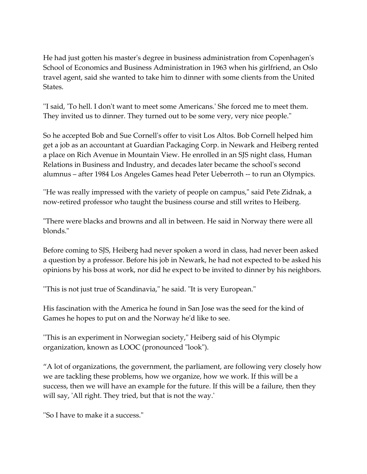He had just gotten his master's degree in business administration from Copenhagen's School of Economics and Business Administration in 1963 when his girlfriend, an Oslo travel agent, said she wanted to take him to dinner with some clients from the United States.

''I said, 'To hell. I don't want to meet some Americans.' She forced me to meet them. They invited us to dinner. They turned out to be some very, very nice people."

So he accepted Bob and Sue Cornell's offer to visit Los Altos. Bob Cornell helped him get a job as an accountant at Guardian Packaging Corp. in Newark and Heiberg rented a place on Rich Avenue in Mountain View. He enrolled in an SJS night class, Human Relations in Business and Industry, and decades later became the school's second alumnus – after 1984 Los Angeles Games head Peter Ueberroth -- to run an Olympics.

''He was really impressed with the variety of people on campus," said Pete Zidnak, a now-retired professor who taught the business course and still writes to Heiberg.

"There were blacks and browns and all in between. He said in Norway there were all blonds."

Before coming to SJS, Heiberg had never spoken a word in class, had never been asked a question by a professor. Before his job in Newark, he had not expected to be asked his opinions by his boss at work, nor did he expect to be invited to dinner by his neighbors.

''This is not just true of Scandinavia," he said. "It is very European."

His fascination with the America he found in San Jose was the seed for the kind of Games he hopes to put on and the Norway he'd like to see.

''This is an experiment in Norwegian society," Heiberg said of his Olympic organization, known as LOOC (pronounced "look").

"A lot of organizations, the government, the parliament, are following very closely how we are tackling these problems, how we organize, how we work. If this will be a success, then we will have an example for the future. If this will be a failure, then they will say, 'All right. They tried, but that is not the way.'

''So I have to make it a success."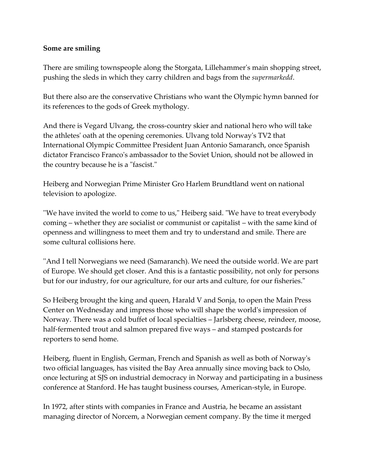## **Some are smiling**

There are smiling townspeople along the Storgata, Lillehammer's main shopping street, pushing the sleds in which they carry children and bags from the *supermarkedd*.

But there also are the conservative Christians who want the Olympic hymn banned for its references to the gods of Greek mythology.

And there is Vegard Ulvang, the cross-country skier and national hero who will take the athletes' oath at the opening ceremonies. Ulvang told Norway's TV2 that International Olympic Committee President Juan Antonio Samaranch, once Spanish dictator Francisco Franco's ambassador to the Soviet Union, should not be allowed in the country because he is a "fascist."

Heiberg and Norwegian Prime Minister Gro Harlem Brundtland went on national television to apologize.

''We have invited the world to come to us," Heiberg said. "We have to treat everybody coming – whether they are socialist or communist or capitalist – with the same kind of openness and willingness to meet them and try to understand and smile. There are some cultural collisions here.

''And I tell Norwegians we need (Samaranch). We need the outside world. We are part of Europe. We should get closer. And this is a fantastic possibility, not only for persons but for our industry, for our agriculture, for our arts and culture, for our fisheries."

So Heiberg brought the king and queen, Harald V and Sonja, to open the Main Press Center on Wednesday and impress those who will shape the world's impression of Norway. There was a cold buffet of local specialties – Jarlsberg cheese, reindeer, moose, half-fermented trout and salmon prepared five ways – and stamped postcards for reporters to send home.

Heiberg, fluent in English, German, French and Spanish as well as both of Norway's two official languages, has visited the Bay Area annually since moving back to Oslo, once lecturing at SJS on industrial democracy in Norway and participating in a business conference at Stanford. He has taught business courses, American-style, in Europe.

In 1972, after stints with companies in France and Austria, he became an assistant managing director of Norcem, a Norwegian cement company. By the time it merged